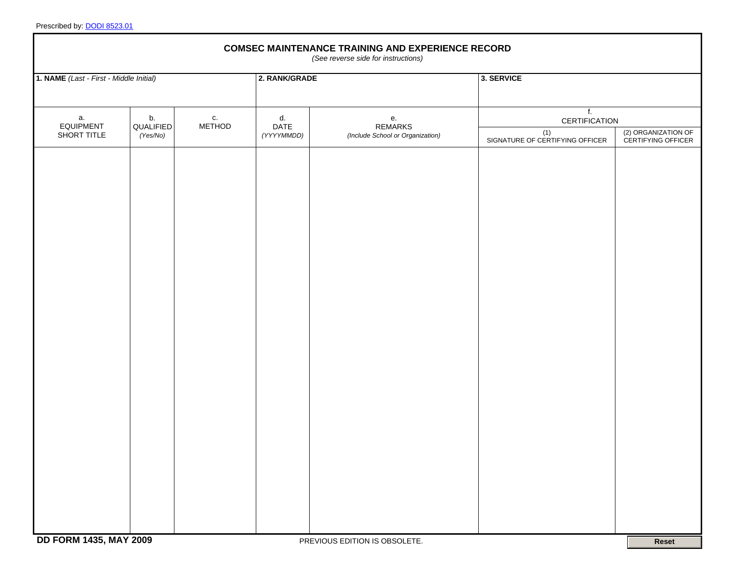|                                         | <b>COMSEC MAINTENANCE TRAINING AND EXPERIENCE RECORD</b><br>(See reverse side for instructions) |                             |              |                          |                                                          |                                        |                                           |  |
|-----------------------------------------|-------------------------------------------------------------------------------------------------|-----------------------------|--------------|--------------------------|----------------------------------------------------------|----------------------------------------|-------------------------------------------|--|
| 1. NAME (Last - First - Middle Initial) |                                                                                                 |                             |              | 2. RANK/GRADE            |                                                          | 3. SERVICE                             |                                           |  |
|                                         | а.<br><b>EQUIPMENT</b><br>SHORT TITLE                                                           | b.<br>QUALIFIED<br>(Yes/No) | С.<br>METHOD | d.<br>DATE<br>(YYYYMMDD) | е.<br><b>REMARKS</b><br>(Include School or Organization) | f <sub>r</sub><br>CERTIFICATION        |                                           |  |
|                                         |                                                                                                 |                             |              |                          |                                                          | (1)<br>SIGNATURE OF CERTIFYING OFFICER | (2) ORGANIZATION OF<br>CERTIFYING OFFICER |  |
|                                         |                                                                                                 |                             |              |                          |                                                          |                                        |                                           |  |
|                                         |                                                                                                 |                             |              |                          |                                                          |                                        |                                           |  |
|                                         |                                                                                                 |                             |              |                          |                                                          |                                        |                                           |  |
|                                         |                                                                                                 |                             |              |                          |                                                          |                                        |                                           |  |
|                                         |                                                                                                 |                             |              |                          |                                                          |                                        |                                           |  |
|                                         |                                                                                                 |                             |              |                          |                                                          |                                        |                                           |  |
|                                         |                                                                                                 |                             |              |                          |                                                          |                                        |                                           |  |
|                                         |                                                                                                 |                             |              |                          |                                                          |                                        |                                           |  |
|                                         |                                                                                                 |                             |              |                          |                                                          |                                        |                                           |  |
|                                         |                                                                                                 |                             |              |                          |                                                          |                                        |                                           |  |
|                                         |                                                                                                 |                             |              |                          |                                                          |                                        |                                           |  |
|                                         |                                                                                                 |                             |              |                          |                                                          |                                        |                                           |  |
|                                         |                                                                                                 |                             |              |                          |                                                          |                                        |                                           |  |
|                                         |                                                                                                 |                             |              |                          |                                                          |                                        |                                           |  |
|                                         |                                                                                                 |                             |              |                          |                                                          |                                        |                                           |  |
|                                         |                                                                                                 |                             |              |                          |                                                          |                                        |                                           |  |
|                                         |                                                                                                 |                             |              |                          |                                                          |                                        |                                           |  |

٦